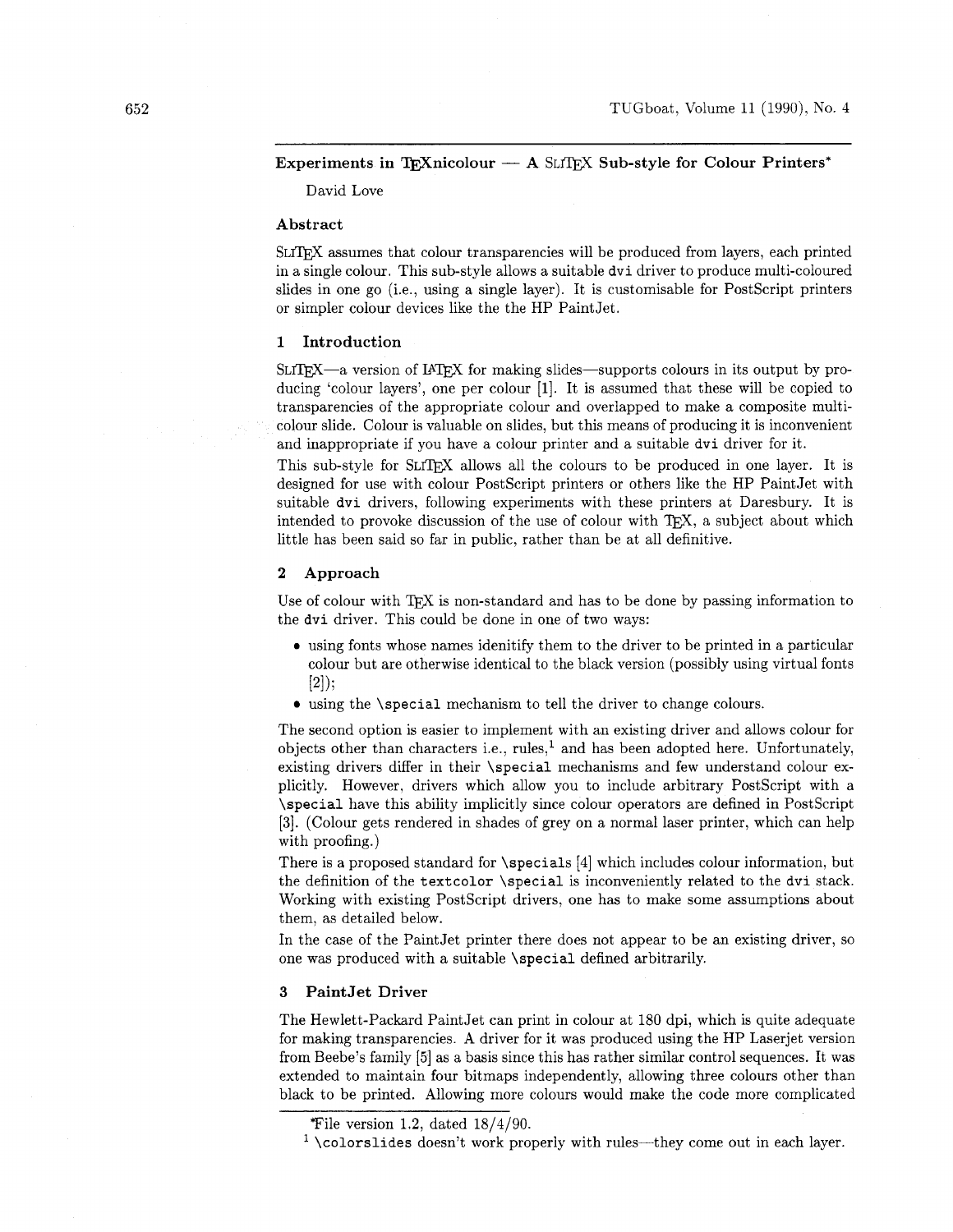# Experiments in TEXnicolour  $-$  A SLTEX Sub-style for Colour Printers\*

David Love

# Abstract

SLITFX assumes that colour transparencies will be produced from layers, each printed in a single colour. This sub-style allows a suitable dvi driver to produce multi-coloured slides in one go (i.e., using a single layer). It is customisable for PostScript printers or simpler colour devices like the the HP PaintJet.

# **1** Introduction

 $SLTFX - a$  version of IATFX for making slides—supports colours in its output by producing 'colour layers', one per colour [I]. It is assumed that these will be copied to transparencies of the appropriate colour and overlapped to make a composite multicolour slide. Colour is valuable on slides, but this means of producing it is inconvenient and inappropriate if you have a colour printer and a suitable dvi driver for it.

This sub-style for SLITFX allows all the colours to be produced in one layer. It is designed for use with colour PostScript printers or others like the HP PaintJet with suitable dvi drivers, following experiments with these printers at Daresbury. It is intended to provoke discussion of the use of colour with TFX, a subject about which little has been said so far in public, rather than be at all definitive.

# 2 Approach

Use of colour with TEX is non-standard and has to be done by passing information to the dvi driver. This could be done in one of two ways:

- **<sup>0</sup>**using fonts whose names idenitify them to the driver to be printed in a particular colour but are otherwise identical to the black version (possibly using virtual fonts  $[2]$ :
- using the \special mechanism to tell the driver to change colours.

The second option is easier to implement with an existing driver and allows colour for objects other than characters i.e., rules,' and has been adopted here. Unfortunately, existing drivers differ in their \special mechanisms and few understand colour explicitly. However, drivers which allow you to include arbitrary PostScript with a \special have this ability implicitly since colour operators are defined in PostScript [3]. (Colour gets rendered in shades of grey on a normal laser printer, which can help with proofing.)

There is a proposed standard for \specials [4] which includes colour information, but the definition of the textcolor \special is inconveniently related to the dvi stack. Working with existing PostScript drivers, one has to make some assumptions about them, as detailed below.

In the case of the PaintJet printer there does not appear to be an existing driver, so one was produced with a suitable \special defined arbitrarily.

# **3** PaintJet Driver

The Hewlett-Packard PaintJet can print in colour at 180 dpi, which is quite adequate for making transparencies. A driver for it was produced using the HP Laserjet version from Beebe's family **[5.]** as a basis since this has rather similar control sequences. It was extended to maintain four bitmaps independently, allowing three colours other than black to be printed. Allowing more colours would make the code more complicated

File version 1.2, dated  $18/4/90$ .

 $\frac{1}{1}$  \colorslides doesn't work properly with rules—they come out in each layer.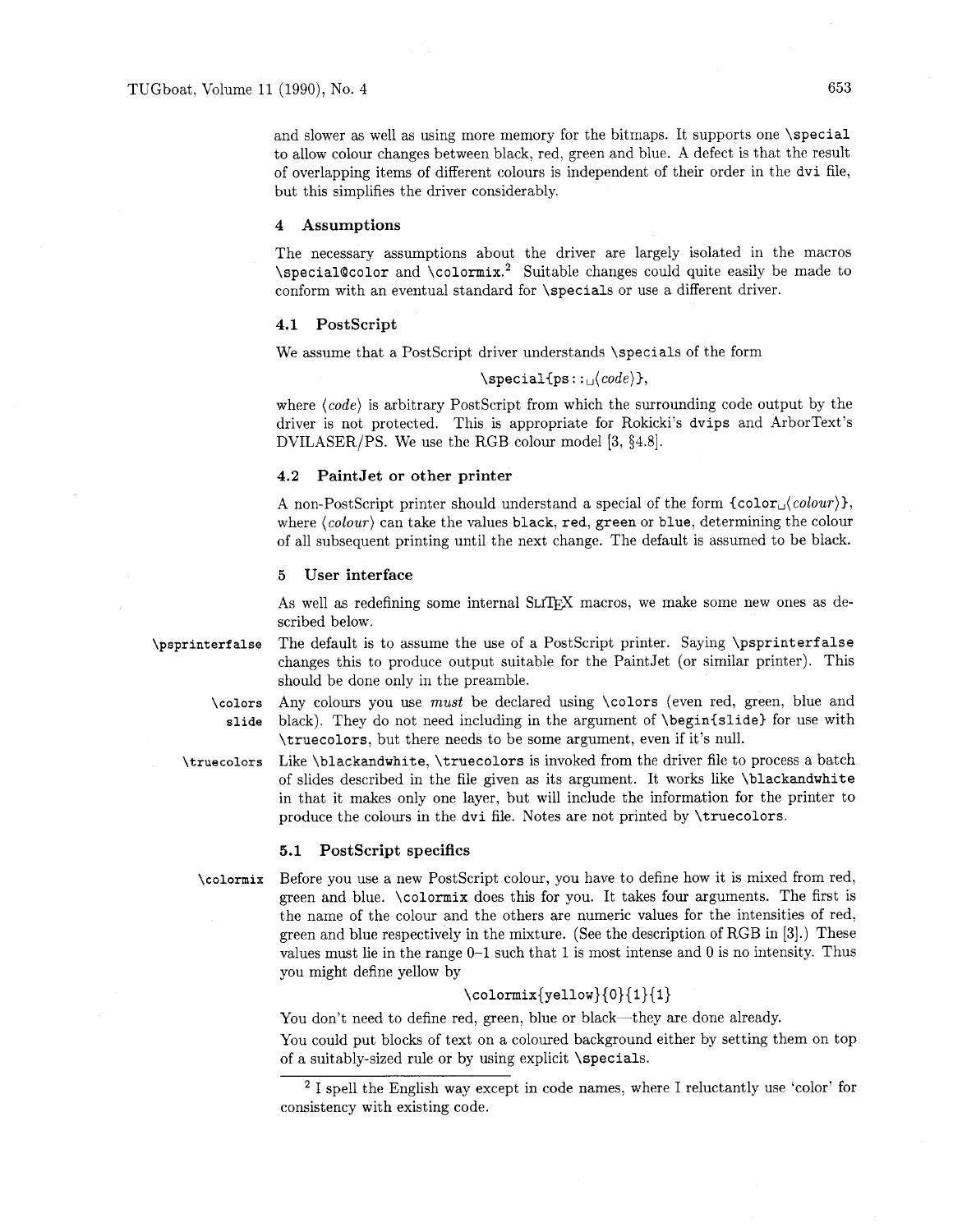and slower as well as using more memory for the bitmaps. It supports one \special to allow colour changes between black, red, green and blue. A defect is that the result of overlapping items of different colours is independent of their order in the dvi file, but this simplifies the driver considerably.

#### **4 Assumptions**

The necessary assumptions about the driver are largely isolated in the macros \special@color and \colormix.<sup>2</sup> Suitable changes could quite easily be made to conform with an eventual standard for \specials or use a different driver.

#### **4.1 Postscript**

We assume that a PostScript driver understands \specials of the form

# $\verb|\special{ps::|/}code\rangle$

where  $\langle code \rangle$  is arbitrary PostScript from which the surrounding code output by the driver is not protected. This is appropriate for Rokicki's dvips and ArborText's DVILASER/PS. We use the RGB colour model [3, §4.8].

#### **4.2 PaintJet or other printer**

A non-PostScript printer should understand a special of the form  $\{\text{color}_(\text{color}_i),\}$ , where  $\langle colour \rangle$  can take the values black, red, green or blue, determining the colour of all subsequent printing until the next change. The default is assumed to be black.

# **5 User interface**

As well as redefining some internal SLTFX macros, we make some new ones as described below.

- The default is to assume the use of a PostScript printer. Saying \psprinterfalse \psprinterfalse changes this to produce output suitable for the PaintJet (or similar printer). This should be done only in the preamble.
	- **\colors slide**  Any colours you use *must* be declared using \colors (even red, green, blue and black). They do not need including in the argument of **\begin{slide}** for use with \truecolors, but there needs to be some argument, even if it's null.
	- Like \blackandwhite. \truecolors is invoked from the driver file to process a batch \truecolors of slides described in the file given as its argument. It works like \blackandwhite in that it makes only one layer, but will include the information for the printer to produce the colours in the dvi file. Notes are not printed by \truecolors.

#### **5.1 PostScript specifics**

\colormix

Before you use a new PostScript colour, you have to define how it is mixed from red, green and blue. \colormix does this for you. It takes four arguments. The first is the name of the colour and the others are numeric values for the intensities of red. green and blue respectively in the mixture. (See the description of RGB in **[3].)** These values must lie in the range 0-1 such that 1 is most intense and 0 is no intensity. Thus you might define yellow by

# **\colormix{yellow}{O}{l}{l}**

You don't need to define red, green, blue or black-they are done already.

You could put blocks of text on a coloured background either by setting them on top of a suitably-sized rule or by using explicit \specials.

<sup>&</sup>lt;sup>2</sup> I spell the English way except in code names, where I reluctantly use 'color' for consistency with existing code.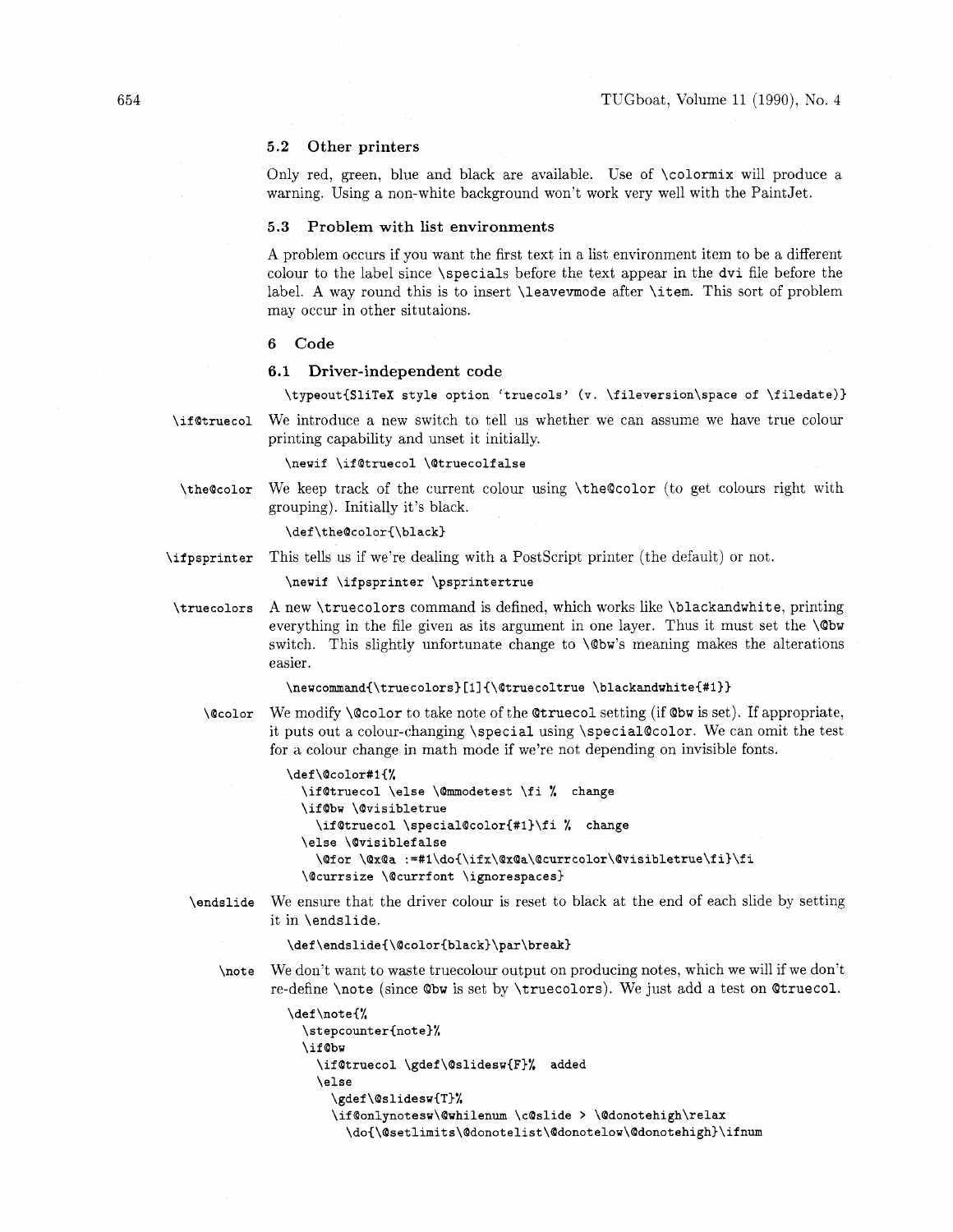# **5.2 Other printers**

Only red, green, blue and black are available. Use of \colormix will produce a warning. Using a non-white background won't work very well with the PaintJet.

### **5.3 Problem with list environments**

A problem occurs if you want the first text in a list environment item to be a different colour to the label since \specials before the text appear in the dvi file before the label. **A** way round this is to insert \leavemode after \item. This sort of problem may occur in other situtaions.

# **6 Code**

#### **6.1 Driver-independent code**

**\typeout{SliTeX style option 'truecols' (v. \fileversion\space of \filedate)}** 

**\if@truecol** We introduce a new switch to tell us whether we can assume we have true colour printing capability and unset it initially.

### \newif \if@truecol \@truecolfalse

**\the@color** We keep track of the current colour using \the@color (to get colours right with grouping). Initially it's black.

# \def\the@color{\black}

**\ifpsprinter** This tells us if we're dealing with a Postscript printer (the default) or not.

\newif \ifpsprinter \psprintertrue

**\truecolors** A new \truecolors command is defined, which works like \blackandwhite, printing everything in the file given as its argument in one layer. Thus it must set the **\@bw**  switch. This slightly unfortunate change to \@bw's meaning makes the alterations easier.

#### \newcommand{\truecolors}[1]{\@truecoltrue \blackandwhite{#1}}

**\@color** We modify \@color to take note of the Qtruecol setting (if @bw is set). If appropriate, it puts out a colour-changing \special using \special@color. We can omit the test for a colour change in math mode if we're not depending on invisible fonts.

```
\def\@color#l{% 
 \if@truecol \else \@mmodetest \fi % change 
 \if@bw \@visibletrue 
   \if@truecol \special@color{#l}\fi % change 
  \else \@visiblefalse 
    \@for \Qx@a :=#l\do~\ifx\QxQa\@currcolor\@visibletrue\fi}\fi 
  \@currsize \@currfont \ignorespaces)
```
**\endslide** We ensure that the driver colour is reset to black at the end of each slide by setting it in \endslide.

#### **\def\endslide{\@color{black)\par\break)**

**\note** We don't want to waste truecolour output on producing notes, which we will if we don't re-define \note (since **Qbw** is set by \truecolors). We just add a test on Otruecol.

```
\def\note{% 
  \stepcounter{note)% 
  \if Obw 
    \if@truecol \gdef\@slidesw{F)% added 
    \else 
      \gdef\@slidesw{T)% 
      \if @onlynotesw\@whilenum \c@slide > \@donotehigh\relax 
        \do{\@setlimits\@donotelist\@donotelow\@donotehigh}\ifnum
```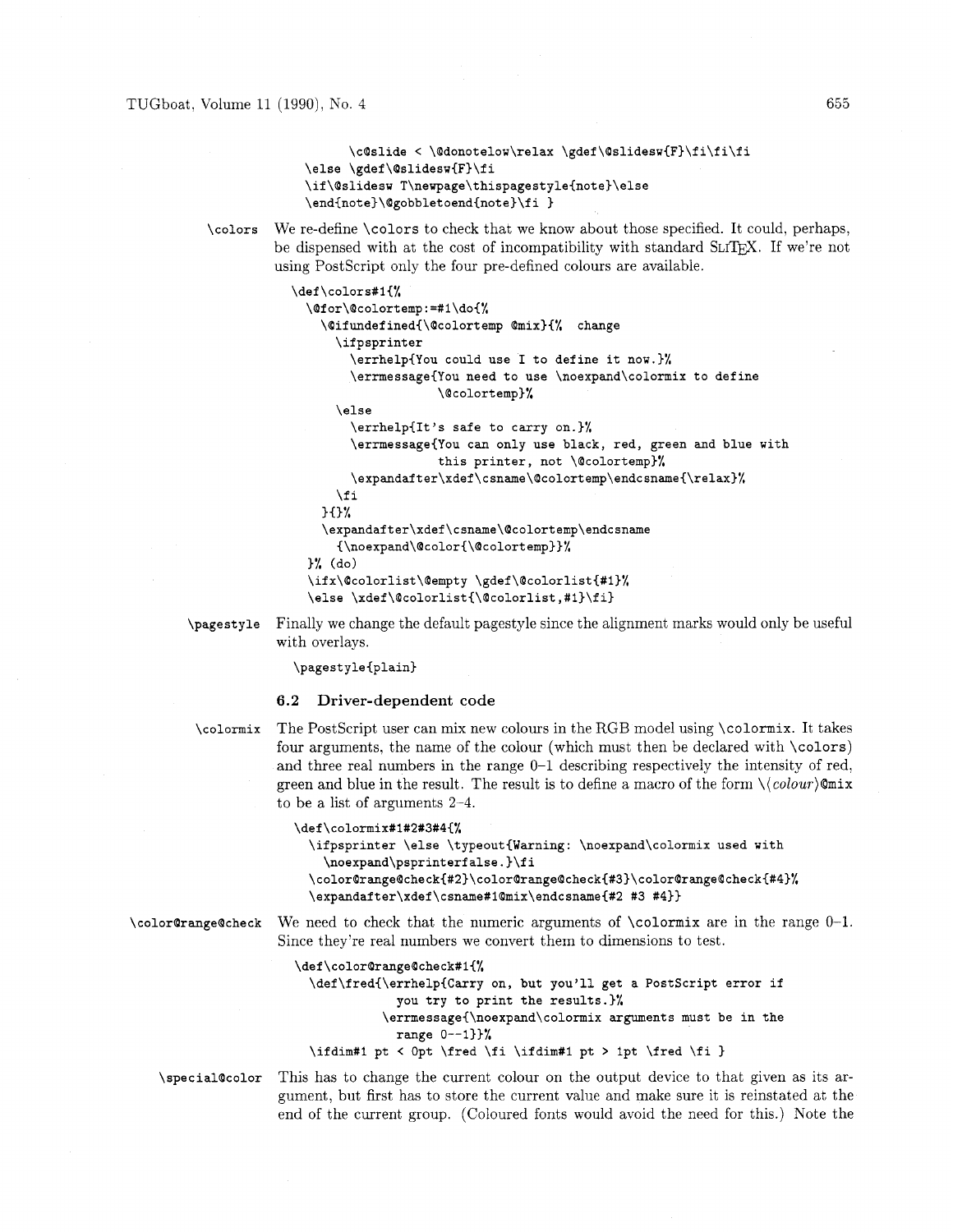```
\c@slide < \@donotelow\relax \gdef\@slidesw{F}\fi\fi\fi
\else \gdef\@slidesw{F}\fi
\if\@slidesw T\newpage\thispagestyle{note}\else
\end{note}\@gobbletoend{note}\fi }
```
\colors We re-define \colors to check that we know about those specified. It could, perhaps, be dispensed with at the cost of incompatibility with standard SLTFX. If we're not using PostScript only the four pre-defined colours are available.

```
\def\colors#l{% 
  \@for\@colortemp:=#l\do{% 
    \Qifundefined{\@colortemp @mix){% change 
      \ifpsprinter 
        \errhelp{You could use I to define it now.)% 
        \errmessage{You need to use \noexpand\colormix to define 
                     \@colortemp)% 
      \else 
        \errhelp{It's safe to carry on.)% 
        \errmessage{You can only use black, red, green and blue with 
                     this printer, not \@colortemp)% 
        \expandafter\xdef\csname\Qcolortemp\endcsname{\relax)% 
      \fi 
    30% 
    \expandafter\xdef\csname\Qcolortemp\endcsname 
      {\noexpand\@color{\Qcolortemp~)% 
  )% (do) 
  \ifx\@colorlist\@empty \gdef\@colorlist{#l)% 
  \else \xdef\@colorlist{\@colorlist,#l)\fi)
```
\pagestyle Finally we change the default pagestyle since the alignment marks would only be useful with overlays.

\pagestyle{plain}

# **6.2 Driver-dependent code**

\colormix The Postscript user can mix new colours in the RGB model using \colormix. It takes four arguments, the name of the colour (which must then be declared with \colors) and three real numbers in the range 0-1 describing respectively the intensity of red. green and blue in the result. The result is to define a macro of the form  $\langle \langle colour \rangle$ Qmix to be a list of arguments 2-4.

```
\def\colormix#l#2#3#4{% 
  \ifpsprinter \else \typeout{Warning: \noexpand\colormix used with 
    \noexpand\psprinterf alse . )\f i 
  \color@range@check{#2}\color@range@check{#3}\color@range@check{#4}%
  \expandafter\xdef\csname#1Qmix\endcsname#2 #3 #4))
```
\color@rangeQcheck We need to check that the numeric arguments of \colormix are in the range 0-1. Since they're real numbers we convert them to dimensions to test.

> \def \color@range@check#l{% **\def\fred{\errhelp{Carry** on, but you'll get a Postscript error if you try to print the results.)% **\errmessage{\noexpand\colormix** arguments must be in the range  $0--1$ }}% \ifdim#l pt < Opt \fred \fi \ifdim#l pt > Ipt \fred \fi )

\special@color This has to change the current colour on the output device to that given as its argument, but first has to store the current value and make sure it is reinstated at the end of the current group. (Coloured fonts would avoid the need for this.) Note the